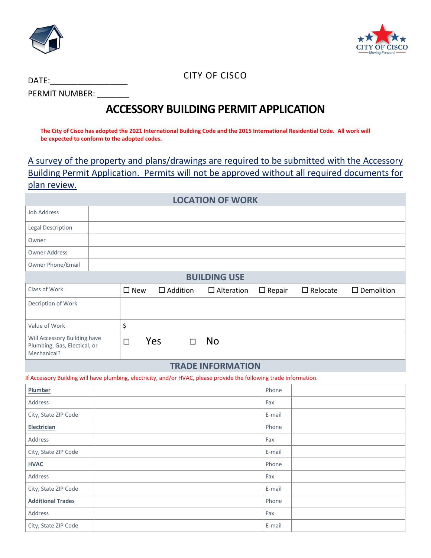



CITY OF CISCO

DATE: PERMIT NUMBER:

# **ACCESSORY BUILDING PERMIT APPLICATION**

**The City of Cisco has adopted the 2021 International Building Code and the 2015 International Residential Code. All work will be expected to conform to the adopted codes.** 

A survey of the property and plans/drawings are required to be submitted with the Accessory Building Permit Application. Permits will not be approved without all required documents for plan review.

| <b>LOCATION OF WORK</b>  |  |  |  |  |
|--------------------------|--|--|--|--|
| <b>Job Address</b>       |  |  |  |  |
| <b>Legal Description</b> |  |  |  |  |
| Owner                    |  |  |  |  |
| <b>Owner Address</b>     |  |  |  |  |
| Owner Phone/Email        |  |  |  |  |

**BUILDING USE**

| <b>BUILDING USE</b>                                                         |               |                 |   |                   |               |                 |                   |
|-----------------------------------------------------------------------------|---------------|-----------------|---|-------------------|---------------|-----------------|-------------------|
| Class of Work                                                               | $\square$ New | $\Box$ Addition |   | $\Box$ Alteration | $\Box$ Repair | $\Box$ Relocate | $\Box$ Demolition |
| Decription of Work                                                          |               |                 |   |                   |               |                 |                   |
| Value of Work                                                               |               |                 |   |                   |               |                 |                   |
| Will Accessory Building have<br>Plumbing, Gas, Electical, or<br>Mechanical? | ┑             | <b>Yes</b>      | п | <b>No</b>         |               |                 |                   |

#### **TRADE INFORMATION**

If Accessory Building will have plumbing, electricity, and/or HVAC, please provide the following trade information.

| Plumber                  | Phone  |
|--------------------------|--------|
| Address                  | Fax    |
| City, State ZIP Code     | E-mail |
| Electrician              | Phone  |
| Address                  | Fax    |
| City, State ZIP Code     | E-mail |
| <b>HVAC</b>              | Phone  |
| Address                  | Fax    |
| City, State ZIP Code     | E-mail |
| <b>Additional Trades</b> | Phone  |
| Address                  | Fax    |
| City, State ZIP Code     | E-mail |